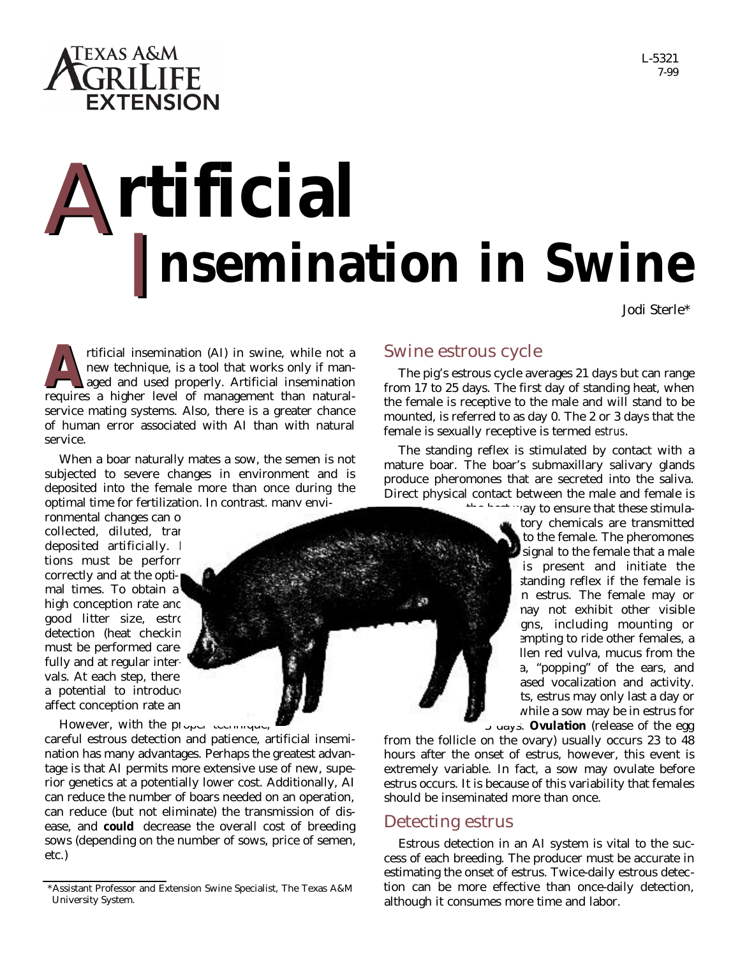

# A I A**rtificial nsemination in Swine**

Jodi Sterle\*

L-5321 7-99

rtificial insemination (AI) in swine, while not a<br>new technique, is a tool that works only if man-<br>aged and used properly. Artificial insemination<br>requires a higher level of management than naturalrtificial insemination (AI) in swine, while not a new technique, is a tool that works only if managed and used properly. Artificial insemination service mating systems. Also, there is a greater chance of human error associated with AI than with natural service.

When a boar naturally mates a sow, the semen is not subjected to severe changes in environment and is deposited into the female more than once during the optimal time for fertilization. In contrast, many envi-

ronmental changes can o collected, diluted, tran deposited artificially. I tions must be performed correctly and at the optimal times. To obtain a high conception rate and good litter size, estrous detection (heat checkin must be performed carefully and at regular intervals. At each step, there a potential to introduce affect conception rate an

However, with the proper technique,

careful estrous detection and patience, artificial insemination has many advantages. Perhaps the greatest advantage is that AI permits more extensive use of new, superior genetics at a potentially lower cost. Additionally, AI can reduce the number of boars needed on an operation, can reduce (but not eliminate) the transmission of disease, and **could** decrease the overall cost of breeding sows (depending on the number of sows, price of semen, etc.)

### Swine estrous cycle

The pig's estrous cycle averages 21 days but can range from 17 to 25 days. The first day of standing heat, when the female is receptive to the male and will stand to be mounted, is referred to as day 0. The 2 or 3 days that the female is sexually receptive is termed *estrus*.

The standing reflex is stimulated by contact with a mature boar. The boar's submaxillary salivary glands produce pheromones that are secreted into the saliva. Direct physical contact between the male and female is

 $t_{\text{max}}$  ay to ensure that these stimulatory chemicals are transmitted to the female. The pheromones signal to the female that a male is present and initiate the standing reflex if the female is in estrus. The female may or may not exhibit other visible gns, including mounting or empting to ride other females, a llen red vulva, mucus from the a, "popping" of the ears, and ased vocalization and activity. ts, estrus may only last a day or while a sow may be in estrus for 3 days. *Ovulation* (release of the egg

from the follicle on the ovary) usually occurs 23 to 48 hours after the onset of estrus, however, this event is extremely variable. In fact, a sow may ovulate before estrus occurs. It is because of this variability that females should be inseminated more than once.

#### Detecting estrus

Estrous detection in an AI system is vital to the success of each breeding. The producer must be accurate in estimating the onset of estrus. Twice-daily estrous detection can be more effective than once-daily detection, although it consumes more time and labor.

<sup>\*</sup>Assistant Professor and Extension Swine Specialist, The Texas A&M University System.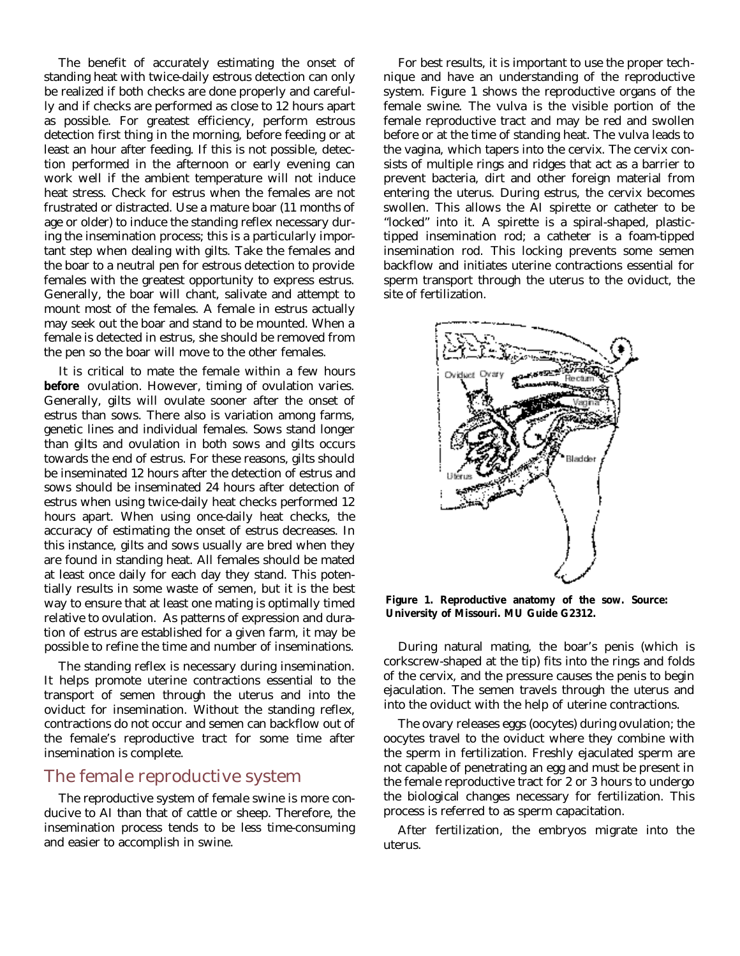The benefit of accurately estimating the onset of standing heat with twice-daily estrous detection can only be realized if both checks are done properly and carefully and if checks are performed as close to 12 hours apart as possible. For greatest efficiency, perform estrous detection first thing in the morning, before feeding or at least an hour after feeding. If this is not possible, detection performed in the afternoon or early evening can work well if the ambient temperature will not induce heat stress. Check for estrus when the females are not frustrated or distracted. Use a mature boar (11 months of age or older) to induce the standing reflex necessary during the insemination process; this is a particularly important step when dealing with gilts. Take the females and the boar to a neutral pen for estrous detection to provide females with the greatest opportunity to express estrus. Generally, the boar will chant, salivate and attempt to mount most of the females. A female in estrus actually may seek out the boar and stand to be mounted. When a female is detected in estrus, she should be removed from the pen so the boar will move to the other females.

It is critical to mate the female within a few hours **before** ovulation. However, timing of ovulation varies. Generally, gilts will ovulate sooner after the onset of estrus than sows. There also is variation among farms, genetic lines and individual females. Sows stand longer than gilts and ovulation in both sows and gilts occurs towards the end of estrus. For these reasons, gilts should be inseminated 12 hours after the detection of estrus and sows should be inseminated 24 hours after detection of estrus when using twice-daily heat checks performed 12 hours apart. When using once-daily heat checks, the accuracy of estimating the onset of estrus decreases. In this instance, gilts and sows usually are bred when they are found in standing heat. All females should be mated at least once daily for each day they stand. This potentially results in some waste of semen, but it is the best way to ensure that at least one mating is optimally timed relative to ovulation. As patterns of expression and duration of estrus are established for a given farm, it may be possible to refine the time and number of inseminations.

The standing reflex is necessary during insemination. It helps promote uterine contractions essential to the transport of semen through the uterus and into the oviduct for insemination. Without the standing reflex, contractions do not occur and semen can backflow out of the female's reproductive tract for some time after insemination is complete.

## The female reproductive system

The reproductive system of female swine is more conducive to AI than that of cattle or sheep. Therefore, the insemination process tends to be less time-consuming and easier to accomplish in swine.

For best results, it is important to use the proper technique and have an understanding of the reproductive system. Figure 1 shows the reproductive organs of the female swine. The vulva is the visible portion of the female reproductive tract and may be red and swollen before or at the time of standing heat. The vulva leads to the vagina, which tapers into the cervix. The cervix consists of multiple rings and ridges that act as a barrier to prevent bacteria, dirt and other foreign material from entering the uterus. During estrus, the cervix becomes swollen. This allows the AI spirette or catheter to be "locked" into it. A spirette is a spiral-shaped, plastictipped insemination rod; a catheter is a foam-tipped insemination rod. This locking prevents some semen backflow and initiates uterine contractions essential for sperm transport through the uterus to the oviduct, the site of fertilization.



**Figure 1. Reproductive anatomy of the sow. Source: University of Missouri. MU Guide G2312.**

During natural mating, the boar's penis (which is corkscrew-shaped at the tip) fits into the rings and folds of the cervix, and the pressure causes the penis to begin ejaculation. The semen travels through the uterus and into the oviduct with the help of uterine contractions.

The ovary releases eggs (oocytes) during ovulation; the oocytes travel to the oviduct where they combine with the sperm in fertilization. Freshly ejaculated sperm are not capable of penetrating an egg and must be present in the female reproductive tract for 2 or 3 hours to undergo the biological changes necessary for fertilization. This process is referred to as sperm capacitation.

After fertilization, the embryos migrate into the uterus.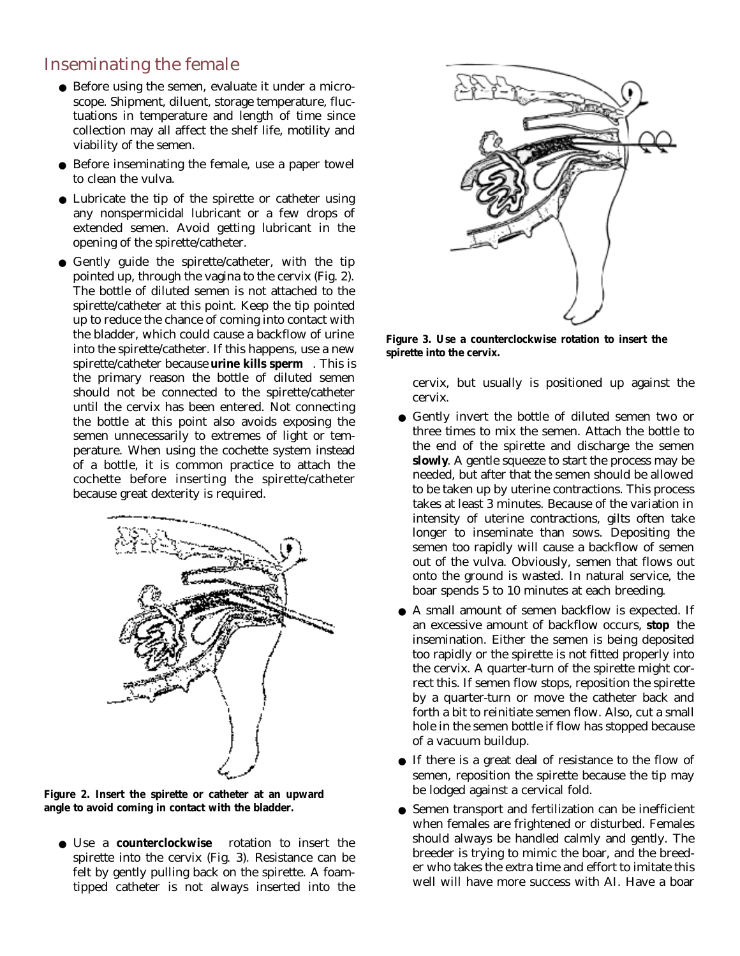# Inseminating the female

- Before using the semen, evaluate it under a microscope. Shipment, diluent, storage temperature, fluctuations in temperature and length of time since collection may all affect the shelf life, motility and viability of the semen.
- Before inseminating the female, use a paper towel to clean the vulva.
- Lubricate the tip of the spirette or catheter using any nonspermicidal lubricant or a few drops of extended semen. Avoid getting lubricant in the opening of the spirette/catheter.
- Gently guide the spirette/catheter, with the tip pointed up, through the vagina to the cervix (Fig. 2). The bottle of diluted semen is not attached to the spirette/catheter at this point. Keep the tip pointed up to reduce the chance of coming into contact with the bladder, which could cause a backflow of urine into the spirette/catheter. If this happens, use a new spirette/catheter because **urine kills sperm** . This is the primary reason the bottle of diluted semen should not be connected to the spirette/catheter until the cervix has been entered. Not connecting the bottle at this point also avoids exposing the semen unnecessarily to extremes of light or temperature. When using the cochette system instead of a bottle, it is common practice to attach the cochette before inserting the spirette/catheter because great dexterity is required.



**Figure 2. Insert the spirette or catheter at an upward angle to avoid coming in contact with the bladder.**

● Use a **counterclockwise** rotation to insert the spirette into the cervix (Fig. 3). Resistance can be felt by gently pulling back on the spirette. A foamtipped catheter is not always inserted into the



**Figure 3. Use a counterclockwise rotation to insert the spirette into the cervix.**

cervix, but usually is positioned up against the cervix.

- Gently invert the bottle of diluted semen two or three times to mix the semen. Attach the bottle to the end of the spirette and discharge the semen *slowly*. A gentle squeeze to start the process may be needed, but after that the semen should be allowed to be taken up by uterine contractions. This process takes at least 3 minutes. Because of the variation in intensity of uterine contractions, gilts often take longer to inseminate than sows. Depositing the semen too rapidly will cause a backflow of semen out of the vulva. Obviously, semen that flows out onto the ground is wasted. In natural service, the boar spends 5 to 10 minutes at each breeding.
- A small amount of semen backflow is expected. If an excessive amount of backflow occurs, **stop** the insemination. Either the semen is being deposited too rapidly or the spirette is not fitted properly into the cervix. A quarter-turn of the spirette might correct this. If semen flow stops, reposition the spirette by a quarter-turn or move the catheter back and forth a bit to reinitiate semen flow. Also, cut a small hole in the semen bottle if flow has stopped because of a vacuum buildup.
- If there is a great deal of resistance to the flow of semen, reposition the spirette because the tip may be lodged against a cervical fold.
- Semen transport and fertilization can be inefficient when females are frightened or disturbed. Females should always be handled calmly and gently. The breeder is trying to mimic the boar, and the breeder who takes the extra time and effort to imitate this well will have more success with AI. Have a boar